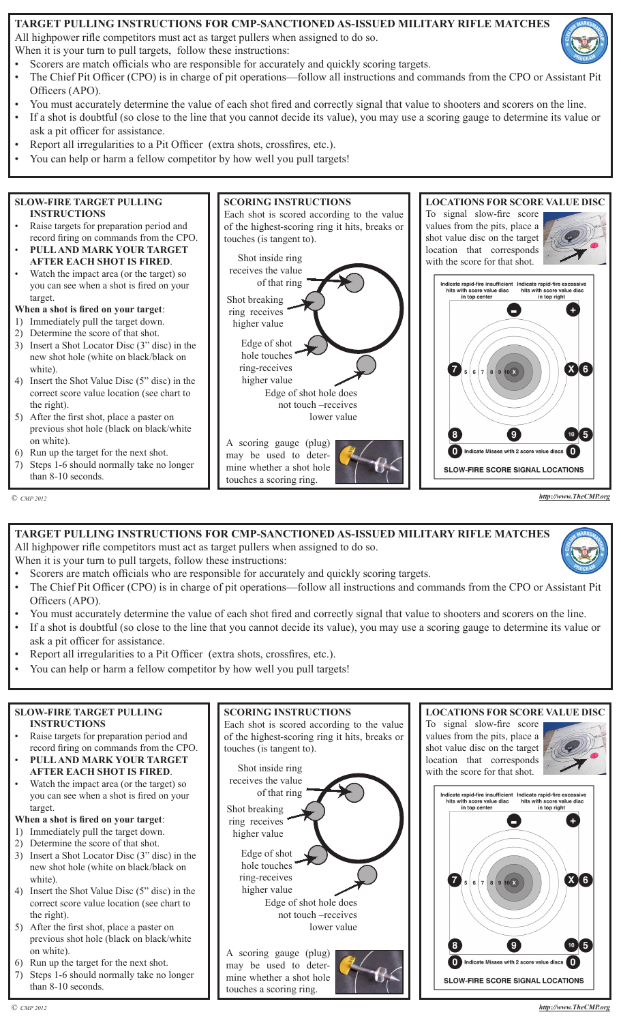#### **TARGET PULLING INSTRUCTIONS FOR CMP-SANCTIONED AS-ISSUED MILITARY RIFLE MATCHES**

All highpower rifle competitors must act as target pullers when assigned to do so.

When it is your turn to pull targets, follow these instructions:

- Scorers are match officials who are responsible for accurately and quickly scoring targets.
- The Chief Pit Officer (CPO) is in charge of pit operations—follow all instructions and commands from the CPO or Assistant Pit Officers (APO).
- You must accurately determine the value of each shot fired and correctly signal that value to shooters and scorers on the line.
- If a shot is doubtful (so close to the line that you cannot decide its value), you may use a scoring gauge to determine its value or ask a pit officer for assistance.
- Report all irregularities to a Pit Officer (extra shots, crossfires, etc.).
- You can help or harm a fellow competitor by how well you pull targets!



*http://www.TheCMP.org*

**TARGET PULLING INSTRUCTIONS FOR CMP-SANCTIONED AS-ISSUED MILITARY RIFLE MATCHES** All highpower rifle competitors must act as target pullers when assigned to do so.

When it is your turn to pull targets, follow these instructions:

- Scorers are match officials who are responsible for accurately and quickly scoring targets.
- The Chief Pit Officer (CPO) is in charge of pit operations—follow all instructions and commands from the CPO or Assistant Pit Officers (APO).
- You must accurately determine the value of each shot fired and correctly signal that value to shooters and scorers on the line.
- If a shot is doubtful (so close to the line that you cannot decide its value), you may use a scoring gauge to determine its value or ask a pit officer for assistance.
- Report all irregularities to a Pit Officer (extra shots, crossfires, etc.).
- You can help or harm a fellow competitor by how well you pull targets!

| <b>SLOW-FIRE TARGET PULLING</b>                   | <b>SCORING INSTRUCTIONS</b>                    | <b>LOCATIONS FOR SCORE VALUE DISC</b>                                                                                             |
|---------------------------------------------------|------------------------------------------------|-----------------------------------------------------------------------------------------------------------------------------------|
| <b>INSTRUCTIONS</b>                               | Each shot is scored according to the value     | To signal slow-fire score                                                                                                         |
| Raise targets for preparation period and          | of the highest-scoring ring it hits, breaks or | values from the pits, place a                                                                                                     |
| record firing on commands from the CPO.           | touches (is tangent to).                       | shot value disc on the target                                                                                                     |
| PULL AND MARK YOUR TARGET                         |                                                | location that corresponds                                                                                                         |
| <b>AFTER EACH SHOT IS FIRED.</b>                  | Shot inside ring                               | with the score for that shot.                                                                                                     |
| Watch the impact area (or the target) so          | receives the value                             |                                                                                                                                   |
| you can see when a shot is fired on your          | of that ring                                   | Indicate rapid-fire insufficient Indicate rapid-fire excessive                                                                    |
| target.                                           | Shot breaking                                  | hits with score value disc<br>hits with score value disc<br>in top center<br>in top right                                         |
| When a shot is fired on your target:              | ring receives                                  |                                                                                                                                   |
| Immediately pull the target down.                 | higher value                                   |                                                                                                                                   |
| Determine the score of that shot.<br>2)           |                                                |                                                                                                                                   |
| Insert a Shot Locator Disc (3" disc) in the<br>3) | Edge of shot                                   |                                                                                                                                   |
| new shot hole (white on black/black on            | hole touches                                   |                                                                                                                                   |
| white).                                           | ring-receives                                  | $\begin{array}{ c c c c c }\n\hline\n\multicolumn{1}{ c }{56} & 5 & 7 & 8 & 9 & 10 & \hline\n\end{array}$<br>$\left[ X \right]$ 6 |
| Insert the Shot Value Disc (5" disc) in the<br>4) | higher value                                   |                                                                                                                                   |
| correct score value location (see chart to        | Edge of shot hole does                         |                                                                                                                                   |
| the right).                                       | not touch -receives                            |                                                                                                                                   |
| After the first shot, place a paster on<br>5)     | lower value                                    |                                                                                                                                   |
| previous shot hole (black on black/white          |                                                |                                                                                                                                   |
| on white).                                        | A scoring gauge (plug)                         | $10 \int 5$                                                                                                                       |
| Run up the target for the next shot.<br>6)        | may be used to deter-                          | Indicate Misses with 2 score value discs (1)                                                                                      |
| Steps 1-6 should normally take no longer          | mine whether a shot hole                       |                                                                                                                                   |
| than 8-10 seconds.                                | touches a secripa ripa                         | <b>SLOW-FIRE SCORE SIGNAL LOCATIONS</b>                                                                                           |

touches a scoring ring.

 *© CMP 2012*